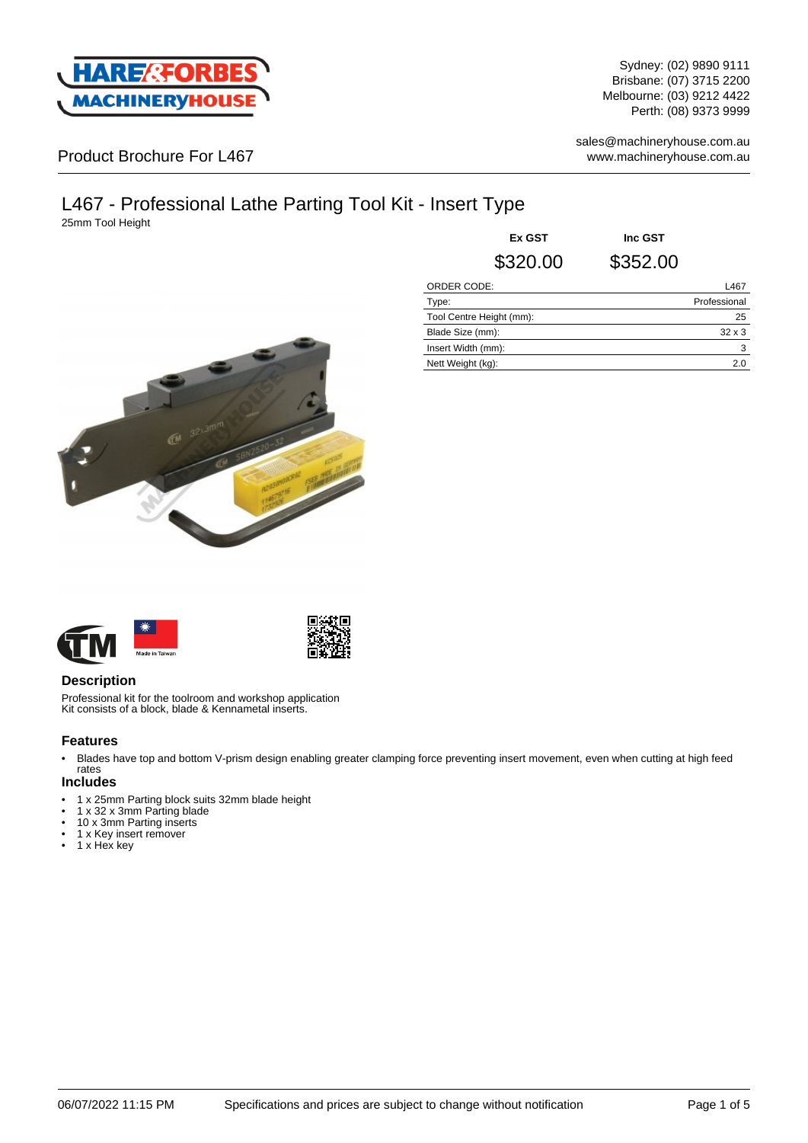

Sydney: (02) 9890 9111 Brisbane: (07) 3715 2200 Melbourne: (03) 9212 4422 Perth: (08) 9373 9999

sales@machineryhouse.com.au www.machineryhouse.com.au

### Product Brochure For L467

# L467 - Professional Lathe Parting Tool Kit - Insert Type

25mm Tool Height



| Ex GST                   | Inc GST  |               |
|--------------------------|----------|---------------|
| \$320.00                 | \$352.00 |               |
| <b>ORDER CODE:</b>       |          | L467          |
| Type:                    |          | Professional  |
| Tool Centre Height (mm): |          | 25            |
| Blade Size (mm):         |          | $32 \times 3$ |
| Insert Width (mm):       |          | 3             |
| Nett Weight (kg):        |          | 2.0           |





#### **Description**

Professional kit for the toolroom and workshop application Kit consists of a block, blade & Kennametal inserts.

#### **Features**

• Blades have top and bottom V-prism design enabling greater clamping force preventing insert movement, even when cutting at high feed rates

#### **Includes**

- 1 x 25mm Parting block suits 32mm blade height<br>•  $1 \times 32 \times 3$ mm Parting blade
- 1 x 32 x 3mm Parting blade
- 10 x 3mm Parting inserts
- 1 x Key insert remover
- 1 x Hex key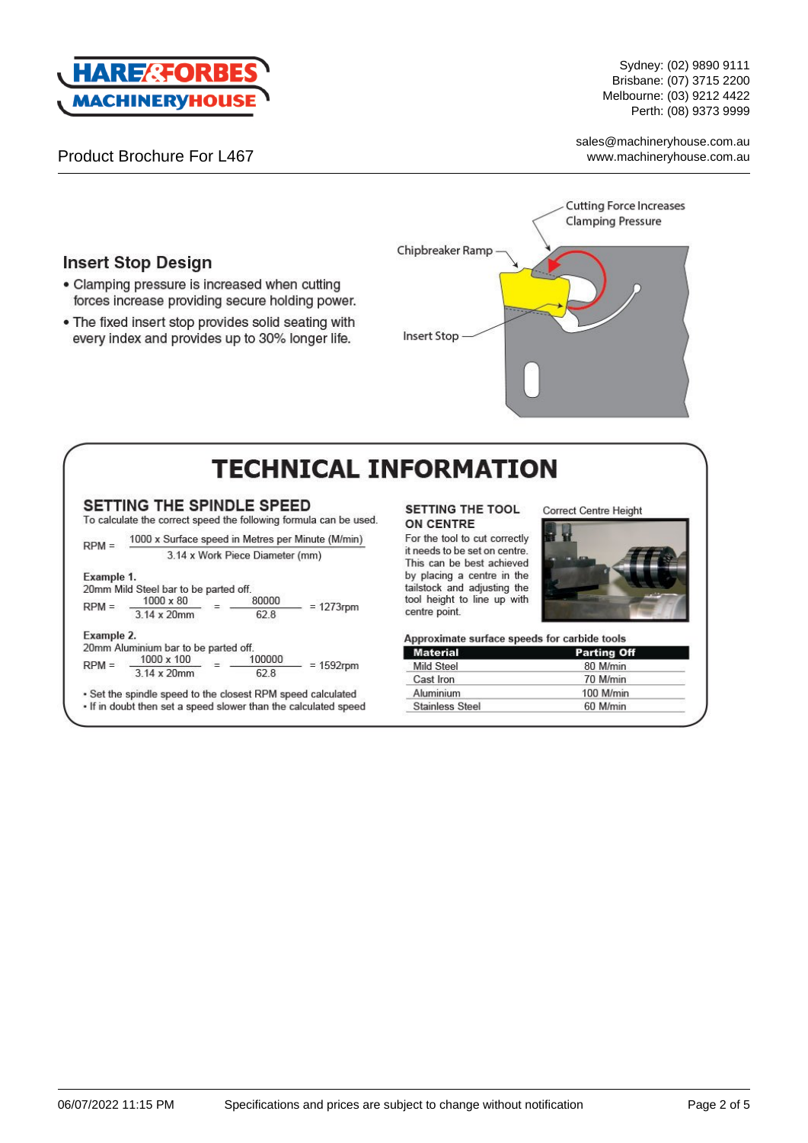

**Insert Stop Design** 

Sydney: (02) 9890 9111 Brisbane: (07) 3715 2200 Melbourne: (03) 9212 4422 Perth: (08) 9373 9999

sales@machineryhouse.com.au www.machineryhouse.com.au



# **TECHNICAL INFORMATION**

#### SETTING THE SPINDLE SPEED

• Clamping pressure is increased when cutting forces increase providing secure holding power. . The fixed insert stop provides solid seating with

every index and provides up to 30% longer life.

To calculate the correct speed the following formula can be used.

1000 x Surface speed in Metres per Minute (M/min)  $RPM =$ 3.14 x Work Piece Diameter (mm) Example 1. 20mm Mild Steel bar to be parted off. 80000 1000 x 80

 $RPM =$  $= 1273$ rpm 3.14 x 20mm  $62.8$ Example 2. 20mm Aluminium bar to be parted off.

1000 x 100 100000

 $RPM =$  $=$  $= 1592$ rpm 3.14 x 20mm 62.8

. Set the spindle speed to the closest RPM speed calculated . If in doubt then set a speed slower than the calculated speed

#### SETTING THE TOOL **ON CENTRE**

For the tool to cut correctly it needs to be set on centre. This can be best achieved by placing a centre in the tailstock and adjusting the tool height to line up with centre point.



Correct Centre Height

Approximate surface speeds for carbide tools

| <b>Material</b>        | <b>Parting Off</b> |  |
|------------------------|--------------------|--|
| <b>Mild Steel</b>      | 80 M/min           |  |
| Cast Iron              | 70 M/min           |  |
| Aluminium              | 100 M/min          |  |
| <b>Stainless Steel</b> | 60 M/min           |  |
|                        |                    |  |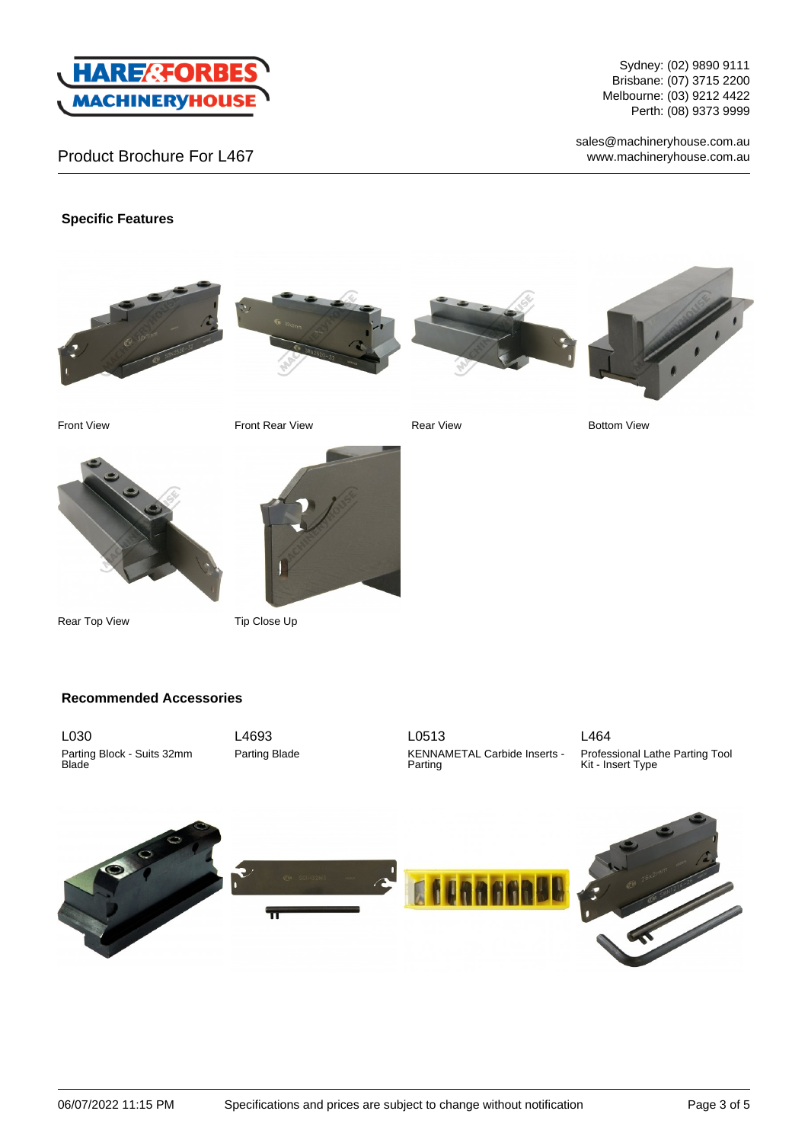

Sydney: (02) 9890 9111 Brisbane: (07) 3715 2200 Melbourne: (03) 9212 4422 Perth: (08) 9373 9999

sales@machineryhouse.com.au www.machineryhouse.com.au

#### **Specific Features**









Front View Front Rear View Rear View Rear View Rear View Rear View Rear View Rear View Rear View Rear View Rear View Rear View Rear View Rear View Rear View Rear View Rear View Rear View Rear View Rear View Rear View Rear



Rear Top View Tip Close Up

#### **Recommended Accessories**

L030 Parting Block - Suits 32mm Blade

L4693 Parting Blade



L464 Professional Lathe Parting Tool Kit - Insert Type

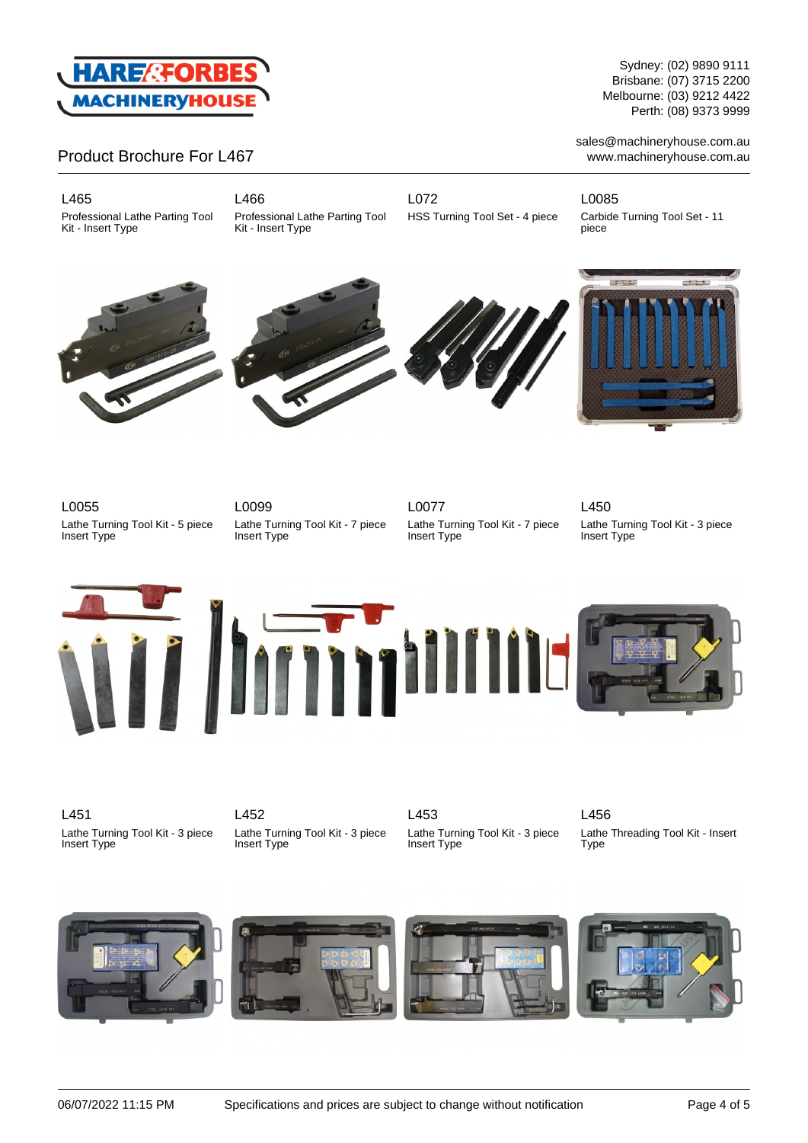

#### L465

Professional Lathe Parting Tool Kit - Insert Type

L466 Professional Lathe Parting Tool Kit - Insert Type

L072 HSS Turning Tool Set - 4 piece L0085 Carbide Turning Tool Set - 11 piece









L0055 Lathe Turning Tool Kit - 5 piece Insert Type

L0099 Lathe Turning Tool Kit - 7 piece Insert Type

L0077 Lathe Turning Tool Kit - 7 piece Insert Type

L450

Lathe Turning Tool Kit - 3 piece Insert Type





L451 Lathe Turning Tool Kit - 3 piece Insert Type

L452 Lathe Turning Tool Kit - 3 piece Insert Type

L453 Lathe Turning Tool Kit - 3 piece Insert Type

L456 Lathe Threading Tool Kit - Insert

Type



Sydney: (02) 9890 9111 Brisbane: (07) 3715 2200 Melbourne: (03) 9212 4422 Perth: (08) 9373 9999

sales@machineryhouse.com.au www.machineryhouse.com.au